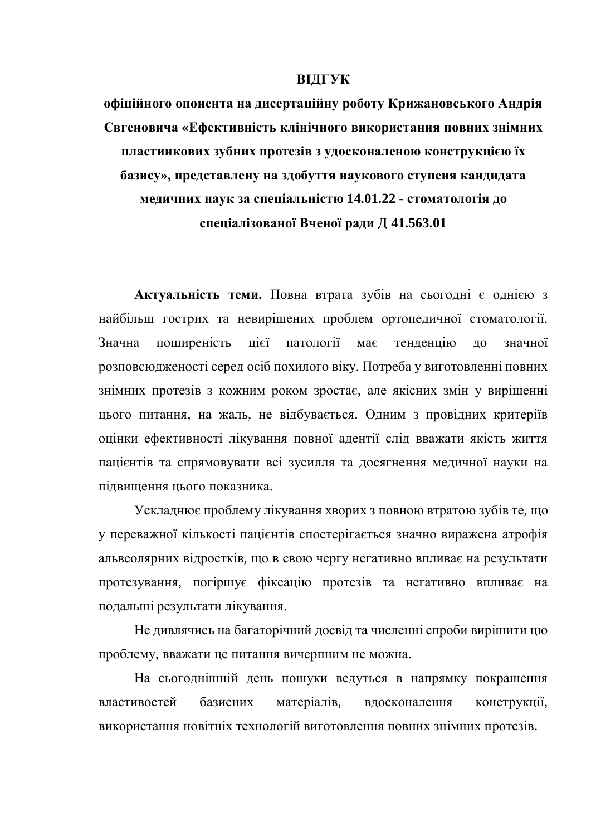## **ВІДГУК**

**офіційного опонента на дисертаційну роботу Крижановського Андрія** Свгеновича «Ефективність клінічного використання повних знімних пластинкових зубних протезів з удосконаленою конструкцією їх базису», представлену на здобуття наукового ступеня кандидата **медичних наук за спеціальністю 14.01.22 - стоматологія до** спеціалізованої Вченої ради Д 41.563.01

Актуальність теми. Повна втрата зубів на сьогодні є однією з найбільш гострих та невирішених проблем ортопедичної стоматології. Значна поширеність цієї патології має тенденцію до значної розповсюдженості серед осіб похилого віку. Потреба у виготовленні повних знімних протезів з кожним роком зростає, але якісних змін у вирішенні цього питання, на жаль, не відбувається. Одним з провідних критеріїв оцінки ефективності лікування повної адентії слід вважати якість життя пацієнтів та спрямовувати всі зусилля та досягнення медичної науки на пілвишення пього показника.

Ускладнює проблему лікування хворих з повною втратою зубів те, що у переважної кількості пацієнтів спостерігається значно виражена атрофія альвеолярних відростків, що в свою чергу негативно впливає на результати протезування, погіршує фіксацію протезів та негативно впливає на подальші результати лікування.

Не дивлячись на багаторічний досвід та численні спроби вирішити цю проблему, вважати це питання вичерпним не можна.

На сьогоднішній день пошуки ведуться в напрямку покрашення властивостей базисних матеріалів, вдосконалення конструкції, використання новітніх технологій виготовлення повних знімних протезів.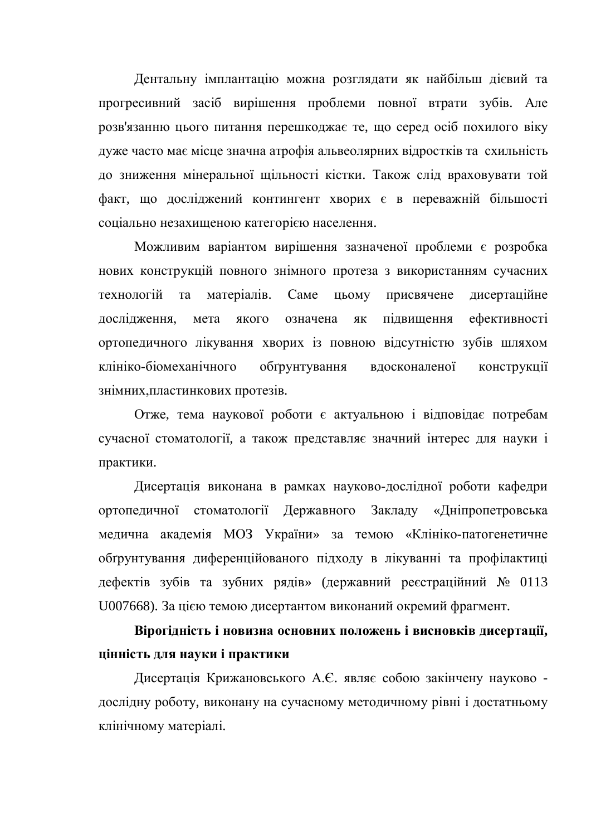Дентальну імплантацію можна розглядати як найбільш дієвий та прогресивний засіб вирішення проблеми повної втрати зубів. Але розв'язанню цього питання перешкоджає те, що серед осіб похилого віку дуже часто має місце значна атрофія альвеолярних відростків та схильність до зниження мінеральної щільності кістки. Також слід враховувати той факт, що досліджений контингент хворих є в переважній більшості соціально незахищеною категорією населення.

Можливим варіантом вирішення зазначеної проблеми є розробка нових конструкцій повного знімного протеза з використанням сучасних технологій та матеріалів. Саме цьому присвячене дисертаційне дослідження, мета якого означена як підвищення ефективності ортопедичного лікування хворих із повною відсутністю зубів шляхом клініко-біомеханічного обґрунтування вдосконаленої конструкції знімних, пластинкових протезів.

Отже, тема наукової роботи є актуальною і відповідає потребам сучасної стоматології, а також представляє значний інтерес для науки і практики.

Дисертація виконана в рамках науково-дослідної роботи кафедри ортопедичної стоматології Державного Закладу «Дніпропетровська медична академія МОЗ України» за темою «Клініко-патогенетичне обтрунтування диференційованого підходу в лікуванні та профілактиці дефектів зубів та зубних рядів» (державний реєстраційний № 0113 U007668). За цією темою дисертантом виконаний окремий фрагмент.

Вірогідність і новизна основних положень і висновків дисертації, **и**інність для науки і практики

Дисертація Крижановського А.Є. являє собою закінчену науково дослідну роботу, виконану на сучасному методичному рівні і достатньому клінічному матеріалі.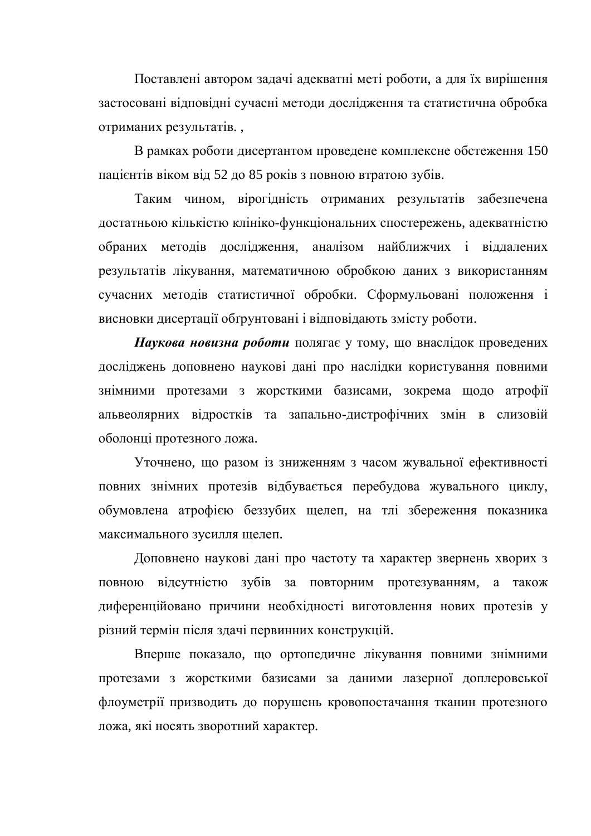Поставлені автором задачі адекватні меті роботи, а для їх вирішення застосовані відповідні сучасні методи дослідження та статистична обробка отриманих результатів.

В рамках роботи дисертантом проведене комплексне обстеження 150 пацієнтів віком від 52 до 85 років з повною втратою зубів.

Таким чином, вірогідність отриманих результатів забезпечена достатньою кількістю клініко-функціональних спостережень, адекватністю обраних методів дослідження, аналізом найближчих і віддалених результатів лікування, математичною обробкою даних з використанням сучасних методів статистичної обробки. Сформульовані положення і висновки дисертації обґрунтовані і відповідають змісту роботи.

Наукова новизна роботи полягає у тому, що внаслідок проведених досліджень доповнено наукові дані про наслідки користування повними знімними протезами з жорсткими базисами, зокрема щодо атрофії альвеолярних відростків та запально-дистрофічних змін в слизовій оболонці протезного ложа.

Уточнено, що разом із зниженням з часом жувальної ефективності повних знімних протезів відбувається перебудова жувального циклу, обумовлена атрофією беззубих щелеп, на тлі збереження показника максимального зусилля щелеп.

Доповнено наукові дані про частоту та характер звернень хворих з повною відсутністю зубів за повторним протезуванням, а також диференційовано причини необхідності виготовлення нових протезів у різний термін після здачі первинних конструкцій.

Вперше показало, що ортопедичне лікування повними знімними протезами з жорсткими базисами за даними лазерної доплеровської флоуметрії призводить до порушень кровопостачання тканин протезного ложа, які носять зворотний характер.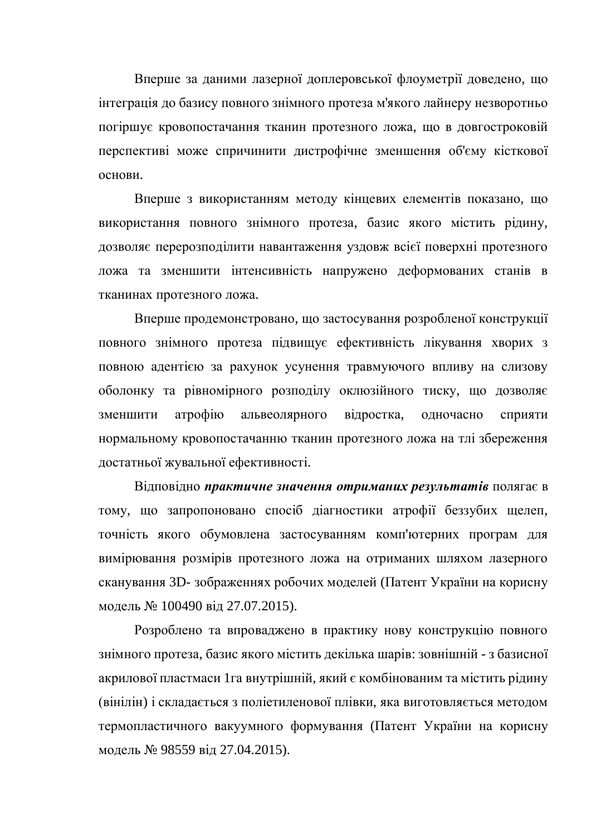Вперше за даними лазерної доплеровської флоуметрії доведено, що інтеграція до базису повного знімного протеза м'якого лайнеру незворотньо погіршує кровопостачання тканин протезного ложа, що в довгостроковій перспективі може спричинити дистрофічне зменшення об'єму кісткової основи.

Вперше з використанням методу кінцевих елементів показано, що використання повного знімного протеза, базис якого містить рідину, дозволяє перерозподілити навантаження уздовж всієї поверхні протезного ложа та зменшити інтенсивність напружено деформованих станів в тканинах протезного ложа.

Вперше продемонстровано, що застосування розробленої конструкції повного знімного протеза підвищує ефективність лікування хворих з повною адентією за рахунок усунення травмуючого впливу на слизову оболонку та рівномірного розподілу оклюзійного тиску, що дозволяє зменшити атрофію альвеолярного відростка, одночасно сприяти нормальному кровопостачанню тканин протезного ложа на тлі збереження достатньої жувальної ефективності.

Відповідно практичне значення отриманих результатів полягає в тому, що запропоновано спосіб діагностики атрофії беззубих щелеп, точність якого обумовлена застосуванням комп'ютерних програм для вимірювання розмірів протезного ложа на отриманих шляхом лазерного сканування 3D- зображеннях робочих моделей (Патент України на корисну модель № 100490 від 27.07.2015).

Розроблено та впроваджено в практику нову конструкцию повного знімного протеза, базис якого містить декілька шарів: зовнішній - з базисної акрилової пластмаси 1 га внутрішній, який є комбінованим та містить рідину (вінілін) і складається з поліетиленової плівки, яка виготовляється методом термопластичного вакуумного формування (Патент України на корисну модель № 98559 від 27.04.2015).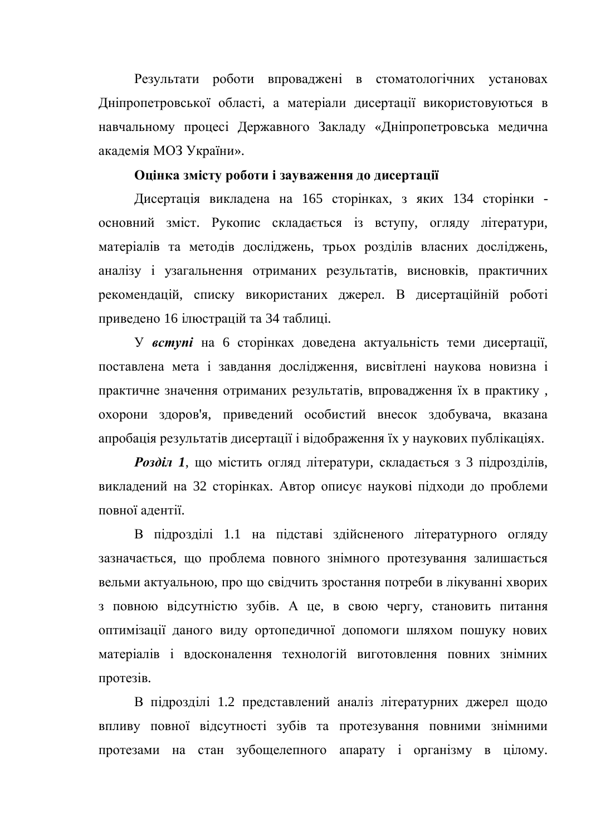Результати роботи впроваджені в стоматологічних установах Дніпропетровської області, а матеріали дисертації використовуються в навчальному процесі Державного Закладу «Дніпропетровська медична академія МОЗ України».

## Оцінка змісту роботи і зауваження до дисертації

Дисертація викладена на 165 сторінках, з яких 134 сторінки основний зміст. Рукопис складається із вступу, огляду літератури, матеріалів та методів досліджень, трьох розділів власних досліджень, аналізу і узагальнення отриманих результатів, висновків, практичних рекомендацій, списку використаних джерел. В дисертаційній роботі приведено 16 ілюстрацій та 34 таблиці.

У **вступі** на 6 сторінках доведена актуальність теми дисертації, поставлена мета і завдання дослідження, висвітлені наукова новизна і практичне значення отриманих результатів, впровадження їх в практику, охорони здоров'я, приведений особистий внесок здобувача, вказана апробація результатів дисертації і відображення їх у наукових публікаціях.

**Розділ 1, що містить огляд літератури, складається з 3 підрозділів,** викладений на 32 сторінках. Автор описує наукові підходи до проблеми повної адентії.

В підрозділі 1.1 на підставі здійсненого літературного огляду зазначається, що проблема повного знімного протезування залишається вельми актуальною, про що свідчить зростання потреби в лікуванні хворих з повною відсутністю зубів. А це, в свою чергу, становить питання оптимізації даного виду ортопедичної допомоги шляхом пошуку нових матеріалів і вдосконалення технологій виготовлення повних знімних протезів.

В підрозділі 1.2 представлений аналіз літературних джерел щодо впливу повної відсутності зубів та протезування повними знімними протезами на стан зубощелепного апарату і організму в цілому.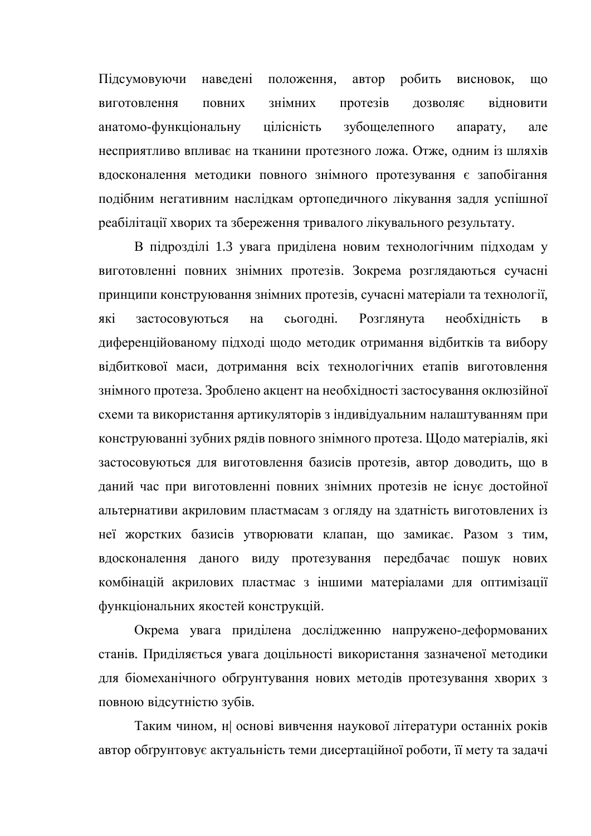Підсумовуючи наведені положення, автор робить висновок, що виготовлення повних знімних протезів дозволяє відновити анатомо-функціональну цілісність зубощелепного апарату, але несприятливо впливає на тканини протезного ложа. Отже, одним із шляхів вдосконалення методики повного знімного протезування є запобігання подібним негативним наслідкам ортопедичного лікування задля успішної реабілітації хворих та збереження тривалого лікувального результату.

В підрозділі 1.3 увага приділена новим технологічним підходам у виготовленні повних знімних протезів. Зокрема розглядаються сучасні принципи конструювання знімних протезів, сучасні матеріали та технології, які застосовуються на сьогодні. Розглянута необхідність в диференційованому підході щодо методик отримання відбитків та вибору відбиткової маси, дотримання всіх технологічних етапів виготовлення знімного протеза. Зроблено акцент на необхідності застосування оклюзійної схеми та використання артикуляторів з індивідуальним налаштуванням при конструюванні зубних рядів повного знімного протеза. Щодо матеріалів, які застосовуються для виготовлення базисів протезів, автор доводить, що в даний час при виготовленні повних знімних протезів не існує достойної альтернативи акриловим пластмасам з огляду на здатність виготовлених із неї жорстких базисів утворювати клапан, що замикає. Разом з тим, вдосконалення даного виду протезування передбачає пошук нових комбінацій акрилових пластмас з іншими матеріалами для оптимізації функціональних якостей конструкцій.

Окрема увага приділена дослідженню напружено-деформованих станів. Приділяється увага доцільності використання зазначеної методики для біомеханічного обґрунтування нових методів протезування хворих з повною відсутністю зубів.

Таким чином, н| основі вивчення наукової літератури останніх років автор обґрунтовує актуальність теми дисертаційної роботи, її мету та задачі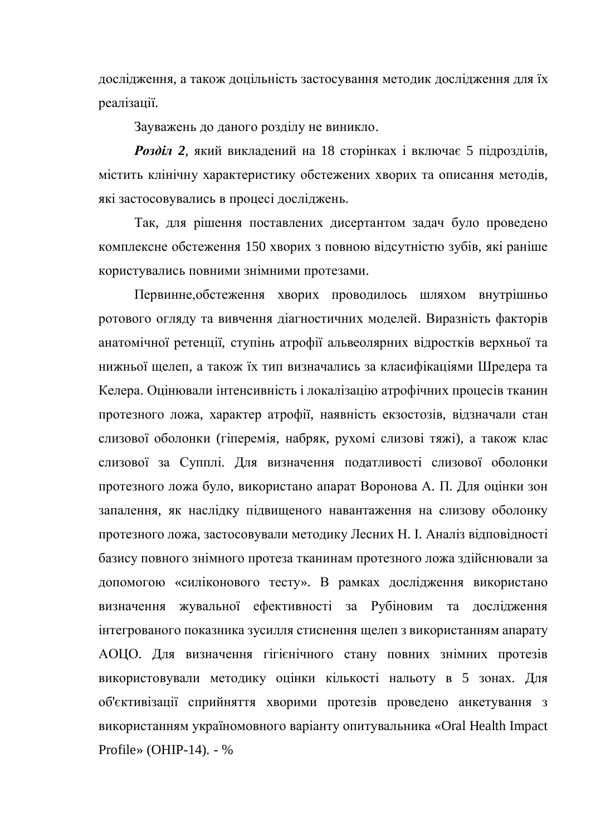дослідження, а також доцільність застосування методик дослідження для їх реалізації.

Зауважень до даного розділу не виникло.

**Розділ 2, який викладений на 18 сторінках і включає 5 підрозділів,** містить клінічну характеристику обстежених хворих та описання методів, які застосовувались в процесі досліджень.

Так, для рішення поставлених дисертантом задач було проведено комплексне обстеження 150 хворих з повною відсутністю зубів, які раніше користувались повними знімними протезами.

Первинне, обстеження хворих проводилось шляхом внутрішньо ротового огляду та вивчення діагностичних моделей. Виразність факторів анатомічної ретенції, ступінь атрофії альвеолярних відростків верхньої та нижньої щелеп, а також їх тип визначались за класифікаціями Шредера та Келера. Оцінювали інтенсивність і локалізацію атрофічних процесів тканин протезного ложа, характер атрофії, наявність екзостозів, відзначали стан слизової оболонки (гіперемія, набряк, рухомі слизові тяжі), а також клас слизової за Супплі. Для визначення податливості слизової оболонки протезного ложа було, використано апарат Воронова А. П. Для оцінки зон запалення, як наслідку підвищеного навантаження на слизову оболонку протезного ложа, застосовували методику Лесних Н. І. Аналіз відповідності базису повного знімного протеза тканинам протезного ложа здійснювали за допомогою «силіконового тесту». В рамках дослідження використано визначення жувальної ефективності за Рубіновим та дослідження інтегрованого показника зусилля стиснення щелеп з використанням апарату АОЦО. Для визначення гігієнічного стану повних знімних протезів використовували методику оцінки кількості нальоту в 5 зонах. Для об'єктивізації сприйняття хворими протезів проведено анкетування з використанням україномовного варіанту опитувальника «Oral Health Impact Profile» (OHIP-14). - %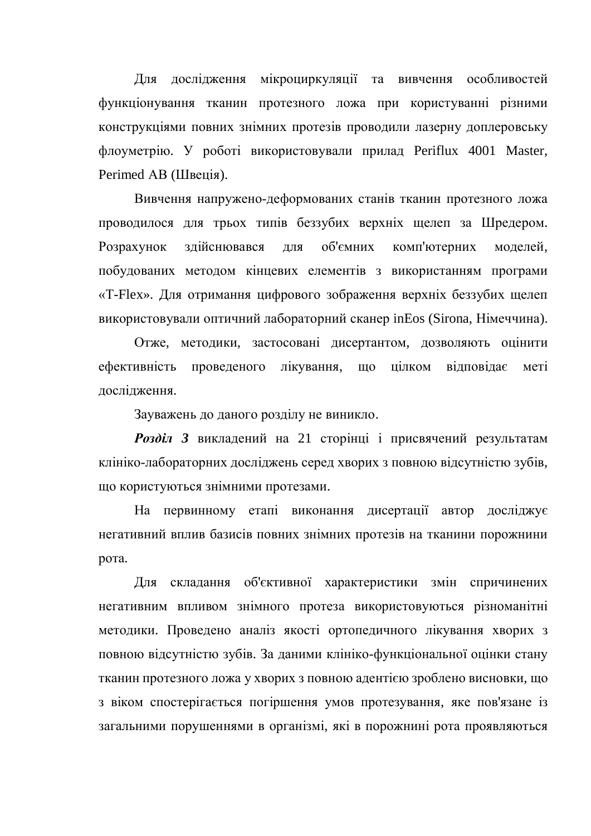Для дослідження мікроциркуляції та вивчення особливостей функціонування тканин протезного ложа при користуванні різними конструкціями повних знімних протезів проводили лазерну доплеровську флоуметрію. У роботі використовували прилад Periflux 4001 Master, Perimed AB (Швеція).

Вивчення напружено-деформованих станів тканин протезного ложа проводилося для трьох типів беззубих верхніх щелеп за Шредером. Розрахунок здійснювався для об'ємних комп'ютерних моделей, побудованих методом кінцевих елементів з використанням програми «Т-Flex». Для отримання цифрового зображення верхніх беззубих щелеп використовували оптичний лабораторний сканер inEos (Sirona, Німеччина).

Отже, методики, застосовані дисертантом, дозволяють оцінити ефективність проведеного лікування, що цілком відповідає меті дослідження.

Зауважень до даного розділу не виникло.

Розділ 3 викладений на 21 сторінці і присвячений результатам клініко-лабораторних досліджень серед хворих з повною відсутністю зубів, що користуються знімними протезами.

На первинному етапі виконання дисертації автор досліджує негативний вплив базисів повних знімних протезів на тканини порожнини рота.

Для складання об'єктивної характеристики змін спричинених негативним впливом знімного протеза використовуються різноманітні методики. Проведено аналіз якості ортопедичного лікування хворих з повною відсутністю зубів. За даними клініко-функціональної оцінки стану тканин протезного ложа у хворих з повною адентією зроблено висновки, що з віком спостерігається погіршення умов протезування, яке пов'язане із загальними порушеннями в організмі, які в порожнині рота проявляються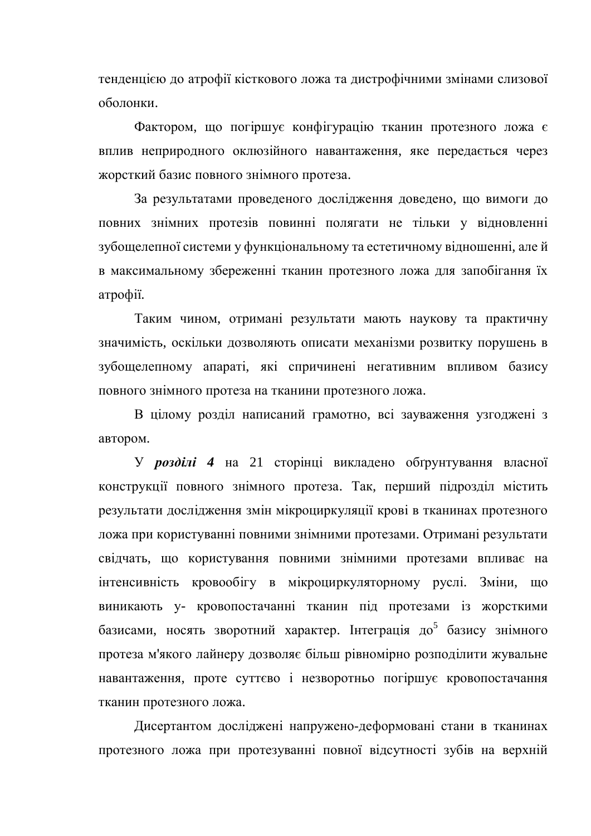тенденцією до атрофії кісткового ложа та дистрофічними змінами слизової оболонки.

Фактором, що погіршує конфігурацію тканин протезного ложа є вплив неприродного оклюзійного навантаження, яке передається через жорсткий базис повного знімного протеза.

За результатами проведеного дослідження доведено, що вимоги до повних знімних протезів повинні полягати не тільки у відновленні зубощелепної системи у функціональному та естетичному відношенні, але й в максимальному збереженні тканин протезного ложа для запобігання їх атрофії.

Таким чином, отримані результати мають наукову та практичну значимість, оскільки дозволяють описати механізми розвитку порушень в зубощелепному апараті, які спричинені негативним впливом базису повного знімного протеза на тканини протезного ложа.

В цілому розділ написаний грамотно, всі зауваження узгоджені з автором.

У розділі 4 на 21 сторінці викладено обґрунтування власної конструкції повного знімного протеза. Так, перший підрозділ містить результати дослідження змін мікроциркуляції крові в тканинах протезного ложа при користуванні повними знімними протезами. Отримані результати свідчать, що користування повними знімними протезами впливає на інтенсивність кровообігу в мікроциркуляторному руслі. Зміни, що виникають у- кровопостачанні тканин під протезами із жорсткими базисами, носять зворотний характер. Інтеграція до<sup>5</sup> базису знімного протеза м'якого лайнеру дозволяє більш рівномірно розподілити жувальне навантаження, проте суттєво і незворотньо погіршує кровопостачання тканин протезного ложа.

Дисертантом досліджені напружено-деформовані стани в тканинах протезного ложа при протезуванні повної відсутності зубів на верхній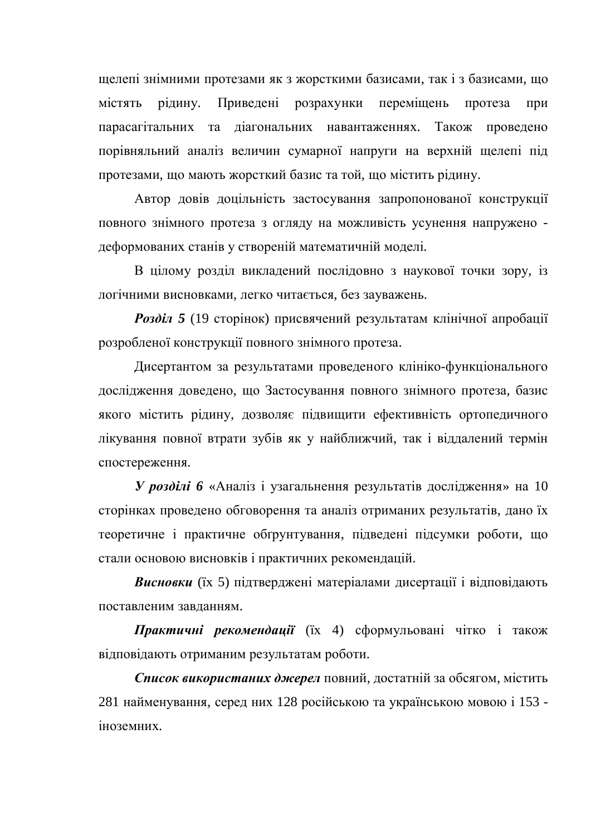щелепі знімними протезами як з жорсткими базисами, так і з базисами, що містять рідину. Приведені розрахунки переміщень протеза при парасагітальних та діагональних навантаженнях. Також проведено порівняльний аналіз величин сумарної напруги на верхній щелепі під протезами, що мають жорсткий базис та той, що містить рідину.

Автор довів доцільність застосування запропонованої конструкції повного знімного протеза з огляду на можливість усунення напружено деформованих станів у створеній математичній моделі.

В цілому розділ викладений послідовно з наукової точки зору, із логічними висновками, легко читається, без зауважень.

**Розділ 5** (19 сторінок) присвячений результатам клінічної апробації розробленої конструкції повного знімного протеза.

Дисертантом за результатами проведеного клініко-функціонального дослідження доведено, що Застосування повного знімного протеза, базис якого містить рідину, дозволяє підвищити ефективність ортопедичного лікування повної втрати зубів як у найближчий, так і віддалений термін спостереження.

**У розділі 6** «Аналіз і узагальнення результатів дослідження» на 10 сторінках проведено обговорення та аналіз отриманих результатів, дано їх теоретичне і практичне обґрунтування, підведені підсумки роботи, що стали основою висновків і практичних рекомендацій.

**Висновки** (їх 5) підтверджені матеріалами дисертації і відповідають поставленим завланням.

**Практичні рекомендації** (їх 4) сформульовані чітко і також відповідають отриманим результатам роботи.

Список використаних джерел повний, достатній за обсягом, містить 281 найменування, серед них 128 російською та українською мовою і 153 іноземних.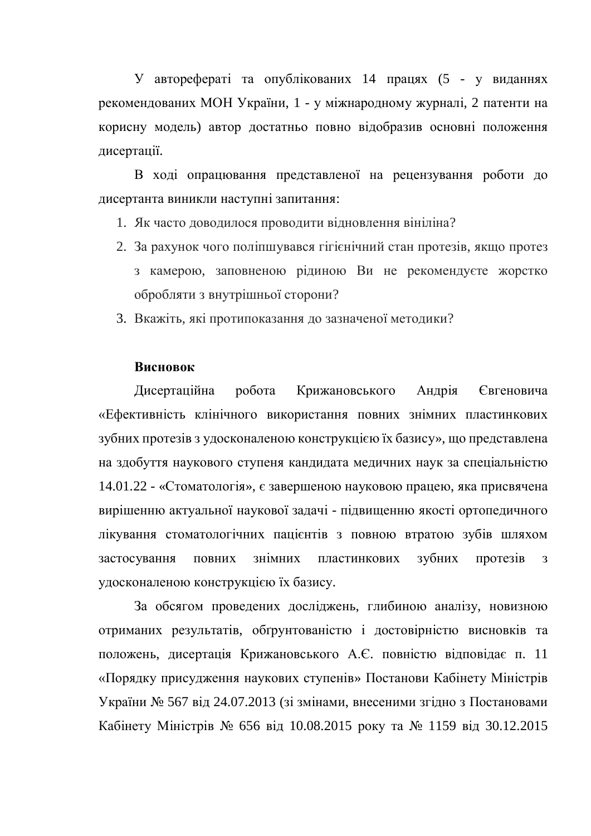У авторефераті та опублікованих 14 працях (5 - у виданнях рекомендованих МОН України, 1 - у міжнародному журналі, 2 патенти на корисну модель) автор достатньо повно відобразив основні положення дисертації.

В ході опрацювання представленої на рецензування роботи до дисертанта виникли наступні запитання:

- 1. Як часто доводилося проводити відновлення вініліна?
- 2. За рахунок чого поліпшувався гігієнічний стан протезів, якщо протез з камерою, заповненою рідиною Ви не рекомендуєте жорстко обробляти з внутрішньої сторони?
- 3. Вкажіть, які протипоказання до зазначеної методики?

## **Висновок**

Дисертаційна робота Крижановського Андрія Євгеновича «Ефективність клінічного використання повних знімних пластинкових зубних протезів з удосконаленою конструкцією їх базису», що представлена на здобуття наукового ступеня кандидата медичних наук за спеціальністю 14.01.22 - «Стоматологія», є завершеною науковою працею, яка присвячена вирішенню актуальної наукової задачі - підвищенню якості ортопедичного лікування стоматологічних пацієнтів з повною втратою зубів шляхом застосування повних знімних пластинкових зубних протезів з удосконаленою конструкцією їх базису.

За обсягом проведених досліджень, глибиною аналізу, новизною отриманих результатів, обґрунтованістю і достовірністю висновків та положень, дисертація Крижановського А.Є. повністю відповідає п. 11 «Порядку присудження наукових ступенів» Постанови Кабінету Міністрів України № 567 від 24.07.2013 (зі змінами, внесеними згідно з Постановами Кабінету Міністрів № 656 від 10.08.2015 року та № 1159 від 30.12.2015